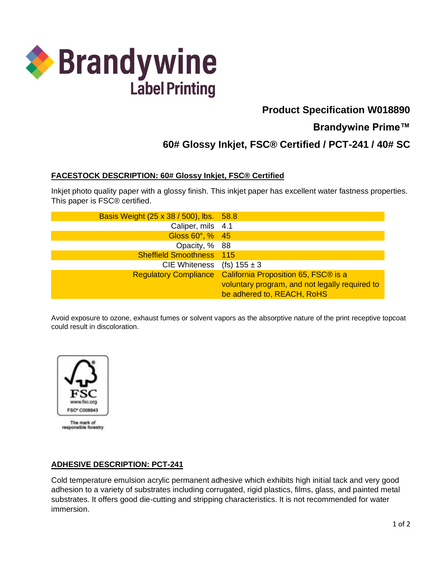

# **Product Specification W018890**

## **Brandywine Prime™**

# **60# Glossy Inkjet, FSC® Certified / PCT-241 / 40# SC**

### **FACESTOCK DESCRIPTION: 60# Glossy Inkjet, FSC® Certified**

Inkjet photo quality paper with a glossy finish. This inkjet paper has excellent water fastness properties. This paper is FSC® certified.

| Basis Weight (25 x 38 / 500), lbs. 58.8 |                                                            |
|-----------------------------------------|------------------------------------------------------------|
| Caliper, mils 4.1                       |                                                            |
| Gloss 60°, % 45                         |                                                            |
| Opacity, % 88                           |                                                            |
| <b>Sheffield Smoothness</b> 115         |                                                            |
| CIE Whiteness (fs) $155 \pm 3$          |                                                            |
|                                         | Regulatory Compliance California Proposition 65, FSC® is a |
|                                         | voluntary program, and not legally required to             |
|                                         | be adhered to, REACH, RoHS                                 |

Avoid exposure to ozone, exhaust fumes or solvent vapors as the absorptive nature of the print receptive topcoat could result in discoloration.



The mark of responsible forestry

#### **ADHESIVE DESCRIPTION: PCT-241**

Cold temperature emulsion acrylic permanent adhesive which exhibits high initial tack and very good adhesion to a variety of substrates including corrugated, rigid plastics, films, glass, and painted metal substrates. It offers good die-cutting and stripping characteristics. It is not recommended for water immersion.